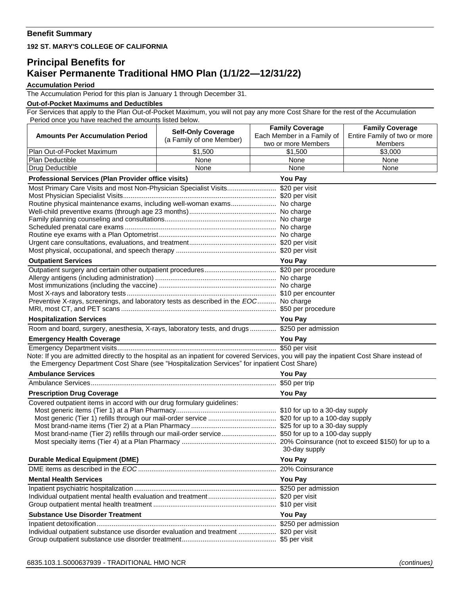## **Benefit Summary**

**192 ST. MARY'S COLLEGE OF CALIFORNIA**

## **Principal Benefits for Kaiser Permanente Traditional HMO Plan (1/1/22—12/31/22)**

## **Accumulation Period**

The Accumulation Period for this plan is January 1 through December 31.

## **Out-of-Pocket Maximums and Deductibles**

For Services that apply to the Plan Out-of-Pocket Maximum, you will not pay any more Cost Share for the rest of the Accumulation Period once you have reached the amounts listed below.

|                                                                                                                                                          |                           | <b>Family Coverage</b>     | <b>Family Coverage</b>       |
|----------------------------------------------------------------------------------------------------------------------------------------------------------|---------------------------|----------------------------|------------------------------|
| <b>Amounts Per Accumulation Period</b>                                                                                                                   | <b>Self-Only Coverage</b> | Each Member in a Family of | Entire Family of two or more |
|                                                                                                                                                          | (a Family of one Member)  | two or more Members        | <b>Members</b>               |
| Plan Out-of-Pocket Maximum                                                                                                                               | \$1,500                   | \$1,500                    | \$3,000                      |
| Plan Deductible                                                                                                                                          | None                      | None                       | None                         |
| Drug Deductible                                                                                                                                          | None                      | None                       | None                         |
| Professional Services (Plan Provider office visits)                                                                                                      | <b>You Pay</b>            |                            |                              |
| Most Primary Care Visits and most Non-Physician Specialist Visits \$20 per visit                                                                         |                           |                            |                              |
|                                                                                                                                                          |                           |                            |                              |
| Routine physical maintenance exams, including well-woman exams No charge                                                                                 |                           |                            |                              |
|                                                                                                                                                          |                           |                            |                              |
|                                                                                                                                                          |                           |                            |                              |
|                                                                                                                                                          |                           |                            |                              |
|                                                                                                                                                          |                           |                            |                              |
|                                                                                                                                                          |                           |                            |                              |
|                                                                                                                                                          |                           |                            |                              |
| <b>Outpatient Services</b>                                                                                                                               |                           | <b>You Pay</b>             |                              |
|                                                                                                                                                          |                           |                            |                              |
|                                                                                                                                                          |                           |                            |                              |
|                                                                                                                                                          |                           |                            |                              |
|                                                                                                                                                          |                           |                            |                              |
| Preventive X-rays, screenings, and laboratory tests as described in the EOC No charge                                                                    |                           |                            |                              |
|                                                                                                                                                          |                           |                            |                              |
| <b>Hospitalization Services</b>                                                                                                                          |                           | <b>You Pay</b>             |                              |
| Room and board, surgery, anesthesia, X-rays, laboratory tests, and drugs \$250 per admission                                                             |                           |                            |                              |
| <b>Emergency Health Coverage</b><br><u> 1980 - Johann Barn, amerikan bestemannten bestemannten bestemannten bestemannten bestemannten bestemannten b</u> |                           | You Pay                    |                              |
| Note: If you are admitted directly to the hospital as an inpatient for covered Services, you will pay the inpatient Cost Share instead of                |                           |                            |                              |
| the Emergency Department Cost Share (see "Hospitalization Services" for inpatient Cost Share)                                                            |                           |                            |                              |
| <b>Ambulance Services</b>                                                                                                                                |                           | <b>You Pay</b>             |                              |
|                                                                                                                                                          |                           |                            |                              |
| <b>Prescription Drug Coverage</b>                                                                                                                        |                           | <b>You Pay</b>             |                              |
| Covered outpatient items in accord with our drug formulary guidelines:                                                                                   |                           |                            |                              |
|                                                                                                                                                          |                           |                            |                              |
| Most generic (Tier 1) refills through our mail-order service  \$20 for up to a 100-day supply                                                            |                           |                            |                              |
|                                                                                                                                                          |                           |                            |                              |
| Most brand-name (Tier 2) refills through our mail-order service \$50 for up to a 100-day supply                                                          |                           |                            |                              |
|                                                                                                                                                          |                           |                            |                              |
|                                                                                                                                                          |                           | 30-day supply              |                              |
| <b>Durable Medical Equipment (DME)</b>                                                                                                                   |                           | You Pay                    |                              |
|                                                                                                                                                          |                           |                            |                              |
| <b>Mental Health Services</b>                                                                                                                            |                           | <b>You Pay</b>             |                              |
|                                                                                                                                                          |                           |                            |                              |
|                                                                                                                                                          |                           |                            |                              |
| <b>Substance Use Disorder Treatment</b>                                                                                                                  |                           |                            |                              |
|                                                                                                                                                          |                           | <b>You Pay</b>             |                              |
|                                                                                                                                                          |                           |                            |                              |
| Individual outpatient substance use disorder evaluation and treatment  \$20 per visit                                                                    |                           |                            |                              |
|                                                                                                                                                          |                           |                            |                              |